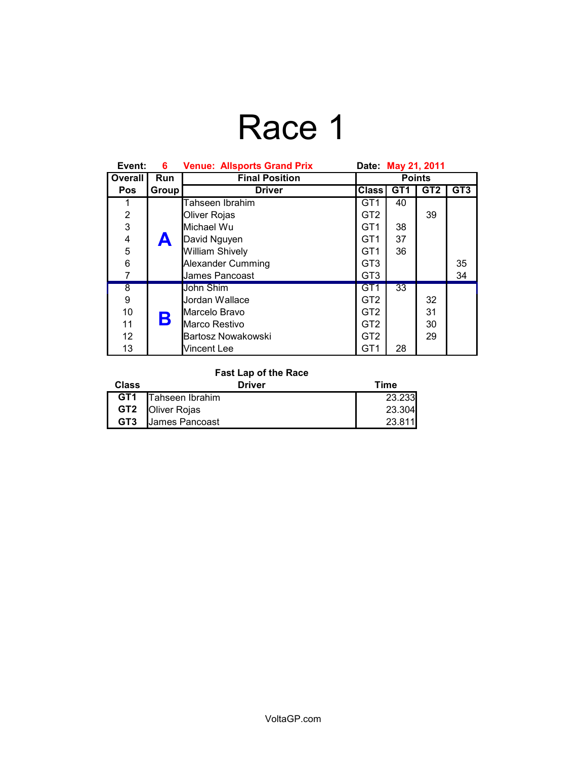# Race 1

| Event:                  | 6.         | <b>Venue: Allsports Grand Prix</b> | Date: May 21, 2011 |                 |                 |                 |
|-------------------------|------------|------------------------------------|--------------------|-----------------|-----------------|-----------------|
| Overall                 | <b>Run</b> | <b>Final Position</b>              | <b>Points</b>      |                 |                 |                 |
| <b>Pos</b>              | Group      | <b>Driver</b>                      | <b>Class</b>       | GT <sub>1</sub> | GT <sub>2</sub> | GT <sub>3</sub> |
| 1                       |            | Tahseen Ibrahim                    | GT <sub>1</sub>    | 40              |                 |                 |
| $\overline{2}$          |            | Oliver Rojas                       | GT <sub>2</sub>    |                 | 39              |                 |
| 3                       |            | Michael Wu                         | GT <sub>1</sub>    | 38              |                 |                 |
| $\overline{\mathbf{4}}$ | A          | David Nguyen                       | GT <sub>1</sub>    | 37              |                 |                 |
| 5                       |            | <b>William Shively</b>             | GT <sub>1</sub>    | 36              |                 |                 |
| 6                       |            | Alexander Cumming                  | GT <sub>3</sub>    |                 |                 | 35              |
| $\overline{7}$          |            | James Pancoast                     | GT <sub>3</sub>    |                 |                 | 34              |
| $\overline{\bf 8}$      |            | John Shim                          | GT <sub>1</sub>    | 33              |                 |                 |
| 9                       |            | Jordan Wallace                     | GT <sub>2</sub>    |                 | 32              |                 |
| 10                      |            | Marcelo Bravo                      | GT <sub>2</sub>    |                 | 31              |                 |
| 11                      | Β          | Marco Restivo                      | GT <sub>2</sub>    |                 | 30              |                 |
| $12 \overline{ }$       |            | Bartosz Nowakowski                 | GT <sub>2</sub>    |                 | 29              |                 |
| 13                      |            | Vincent Lee                        | GT <sub>1</sub>    | 28              |                 |                 |

### **Fast Lap of the Race**

| Class           | Driver                  | Time   |
|-----------------|-------------------------|--------|
| GT <sub>1</sub> | Tahseen Ibrahim         | 23.233 |
|                 | <b>GT2 Oliver Rojas</b> | 23.304 |
| GT <sub>3</sub> | James Pancoast          | 23.811 |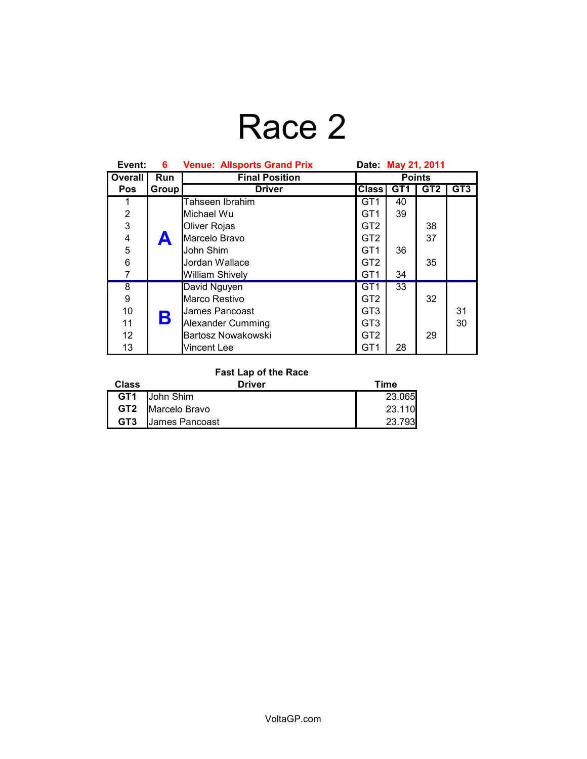# Race 2

| Event:             | 6.    | <b>Venue: Allsports Grand Prix</b> | Date: May 21, 2011 |                 |                 |                 |
|--------------------|-------|------------------------------------|--------------------|-----------------|-----------------|-----------------|
| Overall            | Run   | <b>Final Position</b>              | <b>Points</b>      |                 |                 |                 |
| <b>Pos</b>         | Group | <b>Driver</b>                      | <b>Class</b>       | GT <sub>1</sub> | GT <sub>2</sub> | GT <sub>3</sub> |
| 1                  |       | Tahseen Ibrahim                    | GT <sub>1</sub>    | 40              |                 |                 |
| $\overline{2}$     |       | lMichael Wu                        | GT <sub>1</sub>    | 39              |                 |                 |
| $\overline{3}$     |       | Oliver Rojas                       | GT <sub>2</sub>    |                 | 38              |                 |
| 4                  | A     | Marcelo Bravo                      | GT <sub>2</sub>    |                 | 37              |                 |
| 5                  |       | John Shim                          | GT <sub>1</sub>    | 36              |                 |                 |
| 6                  |       | Jordan Wallace                     | GT <sub>2</sub>    |                 | 35              |                 |
| $\overline{7}$     |       | <b>William Shively</b>             | GT <sub>1</sub>    | 34              |                 |                 |
| $\overline{\bf 8}$ |       | David Nguyen                       | GT <sub>1</sub>    | 33              |                 |                 |
| 9                  |       | Marco Restivo                      | GT <sub>2</sub>    |                 | 32              |                 |
| 10                 |       | <b>James Pancoast</b>              | GT <sub>3</sub>    |                 |                 | 31              |
| 11                 | B     | Alexander Cumming                  | GT <sub>3</sub>    |                 |                 | 30              |
| 12                 |       | Bartosz Nowakowski                 | GT <sub>2</sub>    |                 | 29              |                 |
| 13                 |       | Vincent Lee                        | GT <sub>1</sub>    | 28              |                 |                 |

### **Fast Lap of the Race**

| <b>Class</b>    | Driver               | Time   |
|-----------------|----------------------|--------|
|                 | <b>GT1</b> John Shim | 23.065 |
|                 | GT2   Marcelo Bravo  | 23.110 |
| GT <sub>3</sub> | James Pancoast       | 23.793 |